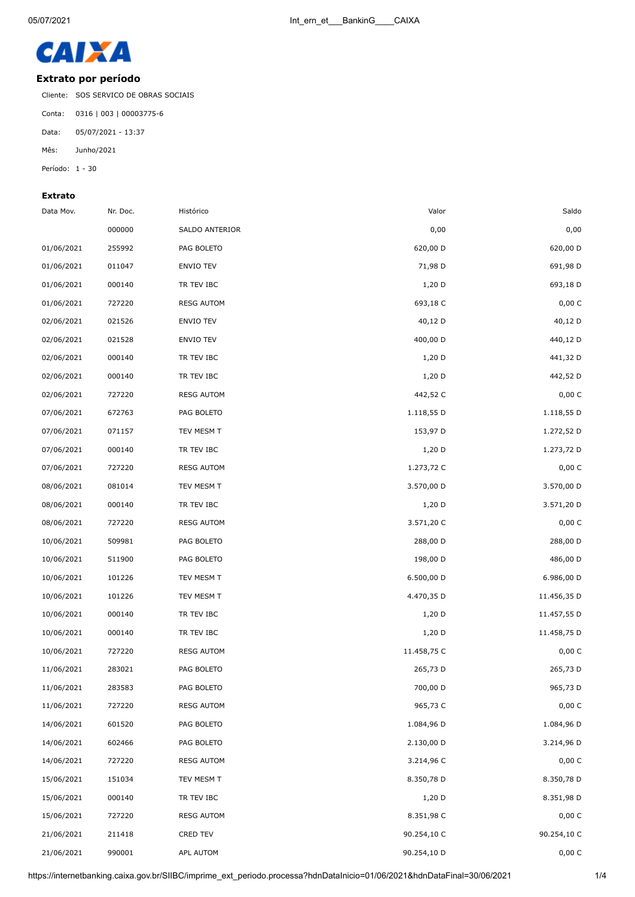

## **Extrato por período**

Cliente: SOS SERVICO DE OBRAS SOCIAIS

Conta: 0316 | 003 | 00003775-6

Data: 05/07/2021 - 13:37

Mês: Junho/2021

Período: 1 - 30

## **Extrato**

| Data Mov.  | Nr. Doc. | Histórico         | Valor       | Saldo       |
|------------|----------|-------------------|-------------|-------------|
|            | 000000   | SALDO ANTERIOR    | 0,00        | 0,00        |
| 01/06/2021 | 255992   | PAG BOLETO        | 620,00 D    | 620,00 D    |
| 01/06/2021 | 011047   | ENVIO TEV         | 71,98 D     | 691,98 D    |
| 01/06/2021 | 000140   | TR TEV IBC        | $1,20$ D    | 693,18 D    |
| 01/06/2021 | 727220   | <b>RESG AUTOM</b> | 693,18 C    | 0,00 C      |
| 02/06/2021 | 021526   | ENVIO TEV         | 40,12 D     | 40,12 D     |
| 02/06/2021 | 021528   | ENVIO TEV         | 400,00 D    | 440,12 D    |
| 02/06/2021 | 000140   | TR TEV IBC        | $1,20$ D    | 441,32 D    |
| 02/06/2021 | 000140   | TR TEV IBC        | $1,20$ D    | 442,52 D    |
| 02/06/2021 | 727220   | <b>RESG AUTOM</b> | 442,52 C    | 0,00 C      |
| 07/06/2021 | 672763   | PAG BOLETO        | 1.118,55 D  | 1.118,55 D  |
| 07/06/2021 | 071157   | TEV MESM T        | 153,97 D    | 1.272,52 D  |
| 07/06/2021 | 000140   | TR TEV IBC        | $1,20$ D    | 1.273,72 D  |
| 07/06/2021 | 727220   | <b>RESG AUTOM</b> | 1.273,72 C  | 0,00 C      |
| 08/06/2021 | 081014   | TEV MESM T        | 3.570,00 D  | 3.570,00 D  |
| 08/06/2021 | 000140   | TR TEV IBC        | $1,20$ D    | 3.571,20 D  |
| 08/06/2021 | 727220   | <b>RESG AUTOM</b> | 3.571,20 C  | 0,00 C      |
| 10/06/2021 | 509981   | PAG BOLETO        | 288,00 D    | 288,00 D    |
| 10/06/2021 | 511900   | PAG BOLETO        | 198,00 D    | 486,00 D    |
| 10/06/2021 | 101226   | TEV MESM T        | 6.500,00 D  | 6.986,00 D  |
| 10/06/2021 | 101226   | TEV MESM T        | 4.470,35 D  | 11.456,35 D |
| 10/06/2021 | 000140   | TR TEV IBC        | 1,20 D      | 11.457,55 D |
| 10/06/2021 | 000140   | TR TEV IBC        | $1,20$ D    | 11.458,75 D |
| 10/06/2021 | 727220   | <b>RESG AUTOM</b> | 11.458,75 C | 0,00 C      |
| 11/06/2021 | 283021   | PAG BOLETO        | 265,73 D    | 265,73 D    |
| 11/06/2021 | 283583   | PAG BOLETO        | 700,00 D    | 965,73 D    |
| 11/06/2021 | 727220   | <b>RESG AUTOM</b> | 965,73 C    | 0,00 C      |
| 14/06/2021 | 601520   | PAG BOLETO        | 1.084,96 D  | 1.084,96 D  |
| 14/06/2021 | 602466   | PAG BOLETO        | 2.130,00 D  | 3.214,96 D  |
| 14/06/2021 | 727220   | <b>RESG AUTOM</b> | 3.214,96 C  | 0,00 C      |
| 15/06/2021 | 151034   | TEV MESM T        | 8.350,78 D  | 8.350,78 D  |
| 15/06/2021 | 000140   | TR TEV IBC        | $1,20$ D    | 8.351,98 D  |
| 15/06/2021 | 727220   | <b>RESG AUTOM</b> | 8.351,98 C  | 0,00 C      |
| 21/06/2021 | 211418   | CRED TEV          | 90.254,10 C | 90.254,10 C |
| 21/06/2021 | 990001   | APL AUTOM         | 90.254,10 D | $0,00\ C$   |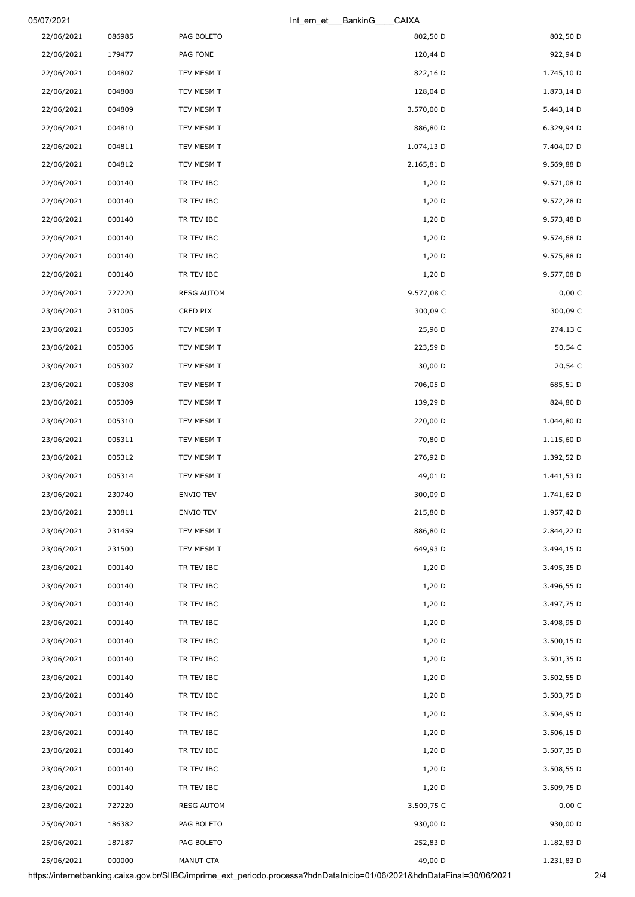| 05/07/2021 |        |                   | CAIXA<br>Int_ern_et___BankinG_ |            |
|------------|--------|-------------------|--------------------------------|------------|
| 22/06/2021 | 086985 | PAG BOLETO        | 802,50 D                       | 802,50 D   |
| 22/06/2021 | 179477 | PAG FONE          | 120,44 D                       | 922,94 D   |
| 22/06/2021 | 004807 | TEV MESM T        | 822,16 D                       | 1.745,10 D |
| 22/06/2021 | 004808 | TEV MESM T        | 128,04 D                       | 1.873,14 D |
| 22/06/2021 | 004809 | TEV MESM T        | 3.570,00 D                     | 5.443,14 D |
| 22/06/2021 | 004810 | TEV MESM T        | 886,80 D                       | 6.329,94 D |
| 22/06/2021 | 004811 | TEV MESM T        | 1.074,13 D                     | 7.404,07 D |
| 22/06/2021 | 004812 | TEV MESM T        | 2.165,81 D                     | 9.569,88 D |
| 22/06/2021 | 000140 | TR TEV IBC        | $1,20$ D                       | 9.571,08 D |
| 22/06/2021 | 000140 | TR TEV IBC        | $1,20$ D                       | 9.572,28 D |
| 22/06/2021 | 000140 | TR TEV IBC        | $1,20$ D                       | 9.573,48 D |
| 22/06/2021 | 000140 | TR TEV IBC        | $1,20$ D                       | 9.574,68 D |
| 22/06/2021 | 000140 | TR TEV IBC        | $1,20$ D                       | 9.575,88 D |
| 22/06/2021 | 000140 | TR TEV IBC        | $1,20$ D                       | 9.577,08 D |
| 22/06/2021 | 727220 | <b>RESG AUTOM</b> | 9.577,08 C                     | 0,00 C     |
| 23/06/2021 | 231005 | CRED PIX          | 300,09 C                       | 300,09 C   |
| 23/06/2021 | 005305 | TEV MESM T        | 25,96 D                        | 274,13 C   |
| 23/06/2021 | 005306 | TEV MESM T        | 223,59 D                       | 50,54 C    |
| 23/06/2021 | 005307 | TEV MESM T        | 30,00 D                        | 20,54 C    |
| 23/06/2021 | 005308 | TEV MESM T        | 706,05 D                       | 685,51 D   |
| 23/06/2021 | 005309 | TEV MESM T        | 139,29 D                       | 824,80 D   |
| 23/06/2021 | 005310 | TEV MESM T        | 220,00 D                       | 1.044,80 D |
| 23/06/2021 | 005311 | TEV MESM T        | 70,80 D                        | 1.115,60 D |
| 23/06/2021 | 005312 | TEV MESM T        | 276,92 D                       | 1.392,52 D |
| 23/06/2021 | 005314 | TEV MESM T        | 49,01 D                        | 1.441,53 D |
| 23/06/2021 | 230740 | ENVIO TEV         | 300,09 D                       | 1.741,62 D |
| 23/06/2021 | 230811 | ENVIO TEV         | 215,80 D                       | 1.957,42 D |
| 23/06/2021 | 231459 | TEV MESM T        | 886,80 D                       | 2.844,22 D |
| 23/06/2021 | 231500 | TEV MESM T        | 649,93 D                       | 3.494,15 D |
| 23/06/2021 | 000140 | TR TEV IBC        | $1,20$ D                       | 3.495,35 D |
| 23/06/2021 | 000140 | TR TEV IBC        | $1,20$ D                       | 3.496,55 D |
| 23/06/2021 | 000140 | TR TEV IBC        | $1,20$ D                       | 3.497,75 D |
| 23/06/2021 | 000140 | TR TEV IBC        | $1,20$ D                       | 3.498,95 D |
| 23/06/2021 | 000140 | TR TEV IBC        | $1,20$ D                       | 3.500,15 D |
| 23/06/2021 | 000140 | TR TEV IBC        | $1,20$ D                       | 3.501,35 D |
| 23/06/2021 | 000140 | TR TEV IBC        | $1,20$ D                       | 3.502,55 D |
| 23/06/2021 | 000140 | TR TEV IBC        | $1,20$ D                       | 3.503,75 D |
| 23/06/2021 | 000140 | TR TEV IBC        | $1,20$ D                       | 3.504,95 D |
| 23/06/2021 | 000140 | TR TEV IBC        | $1,20$ D                       | 3.506,15 D |
| 23/06/2021 | 000140 | TR TEV IBC        | $1,20$ D                       | 3.507,35 D |
| 23/06/2021 | 000140 | TR TEV IBC        | $1,20$ D                       | 3.508,55 D |
| 23/06/2021 | 000140 | TR TEV IBC        | $1,20$ D                       | 3.509,75 D |
| 23/06/2021 | 727220 | <b>RESG AUTOM</b> | 3.509,75 C                     | $0,00\ C$  |
| 25/06/2021 | 186382 | PAG BOLETO        | 930,00 D                       | 930,00 D   |
| 25/06/2021 | 187187 | PAG BOLETO        | 252,83 D                       | 1.182,83 D |
| 25/06/2021 | 000000 | MANUT CTA         | 49,00 D                        | 1.231,83 D |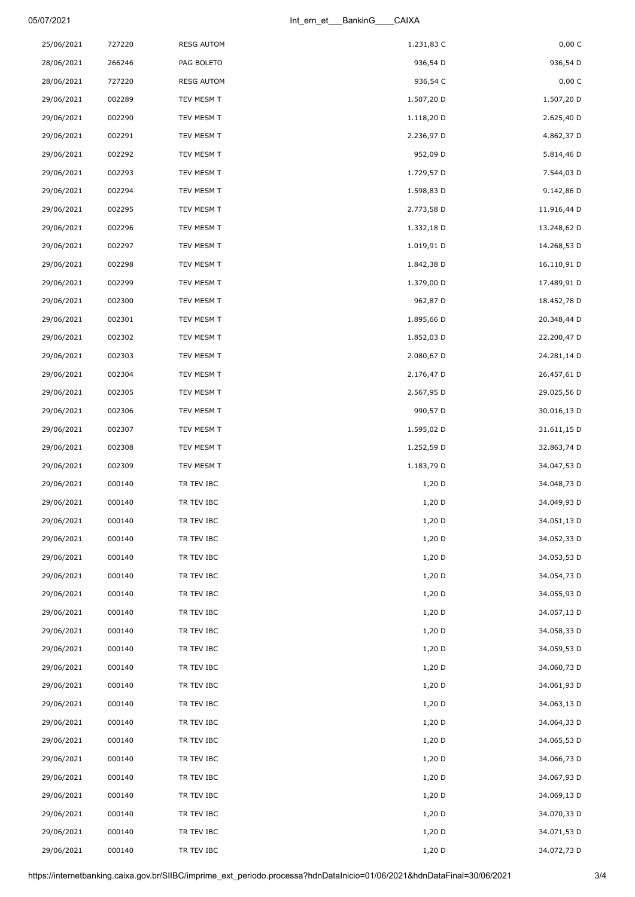## 05/07/2021 Int\_ern\_et\_\_\_BankinG\_\_\_\_CAIXA

| 25/06/2021 | 727220 | <b>RESG AUTOM</b> | 1.231,83 C | 0,00 C      |
|------------|--------|-------------------|------------|-------------|
| 28/06/2021 | 266246 | PAG BOLETO        | 936,54 D   | 936,54 D    |
| 28/06/2021 | 727220 | <b>RESG AUTOM</b> | 936,54 C   | 0,00 C      |
| 29/06/2021 | 002289 | TEV MESM T        | 1.507,20 D | 1.507,20 D  |
| 29/06/2021 | 002290 | TEV MESM T        | 1.118,20 D | 2.625,40 D  |
| 29/06/2021 | 002291 | TEV MESM T        | 2.236,97 D | 4.862,37 D  |
| 29/06/2021 | 002292 | TEV MESM T        | 952,09 D   | 5.814,46 D  |
| 29/06/2021 | 002293 | TEV MESM T        | 1.729,57 D | 7.544,03 D  |
| 29/06/2021 | 002294 | TEV MESM T        | 1.598,83 D | 9.142,86 D  |
| 29/06/2021 | 002295 | TEV MESM T        | 2.773,58 D | 11.916,44 D |
| 29/06/2021 | 002296 | TEV MESM T        | 1.332,18 D | 13.248,62 D |
| 29/06/2021 | 002297 | TEV MESM T        | 1.019,91 D | 14.268,53 D |
| 29/06/2021 | 002298 | TEV MESM T        | 1.842,38 D | 16.110,91 D |
| 29/06/2021 | 002299 | TEV MESM T        | 1.379,00 D | 17.489,91 D |
| 29/06/2021 | 002300 | TEV MESM T        | 962,87 D   | 18.452,78 D |
| 29/06/2021 | 002301 | TEV MESM T        | 1.895,66 D | 20.348,44 D |
| 29/06/2021 | 002302 | TEV MESM T        | 1.852,03 D | 22.200,47 D |
| 29/06/2021 | 002303 | TEV MESM T        | 2.080,67 D | 24.281,14 D |
| 29/06/2021 | 002304 | TEV MESM T        | 2.176,47 D | 26.457,61 D |
| 29/06/2021 | 002305 | TEV MESM T        | 2.567,95 D | 29.025,56 D |
| 29/06/2021 | 002306 | TEV MESM T        | 990,57 D   | 30.016,13 D |
| 29/06/2021 | 002307 | TEV MESM T        | 1.595,02 D | 31.611,15 D |
| 29/06/2021 | 002308 | TEV MESM T        | 1.252,59 D | 32.863,74 D |
| 29/06/2021 | 002309 | TEV MESM T        | 1.183,79 D | 34.047,53 D |
| 29/06/2021 | 000140 | TR TEV IBC        | 1,20 D     | 34.048,73 D |
| 29/06/2021 | 000140 | TR TEV IBC        | 1,20 D     | 34.049,93 D |
| 29/06/2021 | 000140 | TR TEV IBC        | 1,20 D     | 34.051,13 D |
| 29/06/2021 | 000140 | TR TEV IBC        | 1,20 D     | 34.052,33 D |
| 29/06/2021 | 000140 | TR TEV IBC        | $1,20$ D   | 34.053,53 D |
| 29/06/2021 | 000140 | TR TEV IBC        | $1,20$ D   | 34.054,73 D |
| 29/06/2021 | 000140 | TR TEV IBC        | $1,20$ D   | 34.055,93 D |
| 29/06/2021 | 000140 | TR TEV IBC        | 1,20 D     | 34.057,13 D |
| 29/06/2021 | 000140 | TR TEV IBC        | $1,20$ D   | 34.058,33 D |
| 29/06/2021 | 000140 | TR TEV IBC        | $1,20$ D   | 34.059,53 D |
| 29/06/2021 | 000140 | TR TEV IBC        | 1,20 D     | 34.060,73 D |
| 29/06/2021 | 000140 | TR TEV IBC        | $1,20$ D   | 34.061,93 D |
| 29/06/2021 | 000140 | TR TEV IBC        | $1,20$ D   | 34.063,13 D |
| 29/06/2021 | 000140 | TR TEV IBC        | $1,20$ D   | 34.064,33 D |
| 29/06/2021 | 000140 | TR TEV IBC        | $1,20$ D   | 34.065,53 D |
| 29/06/2021 | 000140 | TR TEV IBC        | $1,20$ D   | 34.066,73 D |
| 29/06/2021 | 000140 | TR TEV IBC        | $1,20$ D   | 34.067,93 D |
| 29/06/2021 | 000140 | TR TEV IBC        | $1,20$ D   | 34.069,13 D |
| 29/06/2021 | 000140 | TR TEV IBC        | $1,20$ D   | 34.070,33 D |
| 29/06/2021 | 000140 | TR TEV IBC        | 1,20 D     | 34.071,53 D |
| 29/06/2021 | 000140 | TR TEV IBC        | $1,20$ D   | 34.072,73 D |